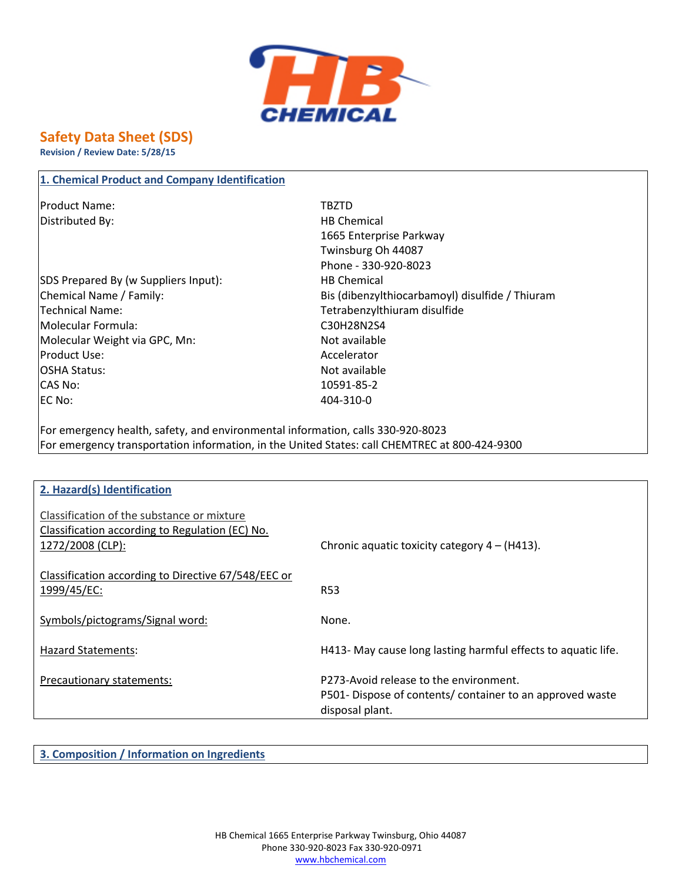

## **Safety Data Sheet (SDS)**

**Revision / Review Date: 5/28/15**

| <b>Product Name:</b>                 | <b>TBZTD</b>                                    |
|--------------------------------------|-------------------------------------------------|
| Distributed By:                      | <b>HB Chemical</b>                              |
|                                      | 1665 Enterprise Parkway                         |
|                                      | Twinsburg Oh 44087                              |
|                                      | Phone - 330-920-8023                            |
| SDS Prepared By (w Suppliers Input): | <b>HB Chemical</b>                              |
| Chemical Name / Family:              | Bis (dibenzylthiocarbamoyl) disulfide / Thiuram |
| Technical Name:                      | Tetrabenzylthiuram disulfide                    |
| Molecular Formula:                   | C30H28N2S4                                      |
| Molecular Weight via GPC, Mn:        | Not available                                   |
| <b>Product Use:</b>                  | Accelerator                                     |
| <b>OSHA Status:</b>                  | Not available                                   |
| CAS No:                              | 10591-85-2                                      |
| <b>EC No:</b>                        | 404-310-0                                       |

For emergency health, safety, and environmental information, calls 330-920-8023 For emergency transportation information, in the United States: call CHEMTREC at 800-424-9300

| 2. Hazard(s) Identification                         |                                                               |
|-----------------------------------------------------|---------------------------------------------------------------|
|                                                     |                                                               |
| Classification of the substance or mixture          |                                                               |
|                                                     |                                                               |
| Classification according to Regulation (EC) No.     |                                                               |
| 1272/2008 (CLP):                                    | Chronic aquatic toxicity category $4 - (H413)$ .              |
|                                                     |                                                               |
| Classification according to Directive 67/548/EEC or |                                                               |
|                                                     |                                                               |
| 1999/45/EC:                                         | <b>R53</b>                                                    |
|                                                     |                                                               |
| Symbols/pictograms/Signal word:                     | None.                                                         |
|                                                     |                                                               |
| Hazard Statements:                                  | H413- May cause long lasting harmful effects to aquatic life. |
|                                                     |                                                               |
|                                                     |                                                               |
| Precautionary statements:                           | P273-Avoid release to the environment.                        |
|                                                     | P501-Dispose of contents/container to an approved waste       |
|                                                     | disposal plant.                                               |
|                                                     |                                                               |

**3. Composition / Information on Ingredients**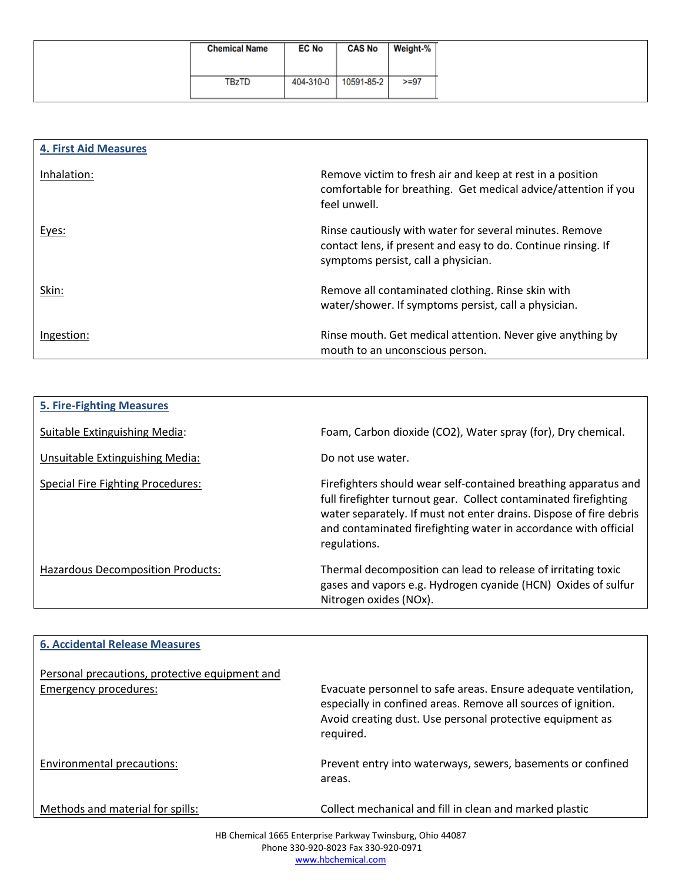| <b>Chemical Name</b> | <b>EC No</b> | <b>CAS No</b> | Weight-% |
|----------------------|--------------|---------------|----------|
| <b>TBzTD</b>         | 404-310-0    | 10591-85-2    | $>= 97$  |

| <b>4. First Aid Measures</b> |                                                                                                                                                                 |
|------------------------------|-----------------------------------------------------------------------------------------------------------------------------------------------------------------|
|                              |                                                                                                                                                                 |
| Inhalation:                  | Remove victim to fresh air and keep at rest in a position<br>comfortable for breathing. Get medical advice/attention if you<br>feel unwell.                     |
| Eyes:                        | Rinse cautiously with water for several minutes. Remove<br>contact lens, if present and easy to do. Continue rinsing. If<br>symptoms persist, call a physician. |
| Skin:                        | Remove all contaminated clothing. Rinse skin with<br>water/shower. If symptoms persist, call a physician.                                                       |
| Ingestion:                   | Rinse mouth. Get medical attention. Never give anything by<br>mouth to an unconscious person.                                                                   |

| <b>5. Fire-Fighting Measures</b>         |                                                                                                                                                                                                                                                                                              |
|------------------------------------------|----------------------------------------------------------------------------------------------------------------------------------------------------------------------------------------------------------------------------------------------------------------------------------------------|
| Suitable Extinguishing Media:            | Foam, Carbon dioxide (CO2), Water spray (for), Dry chemical.                                                                                                                                                                                                                                 |
| Unsuitable Extinguishing Media:          | Do not use water.                                                                                                                                                                                                                                                                            |
| <b>Special Fire Fighting Procedures:</b> | Firefighters should wear self-contained breathing apparatus and<br>full firefighter turnout gear. Collect contaminated firefighting<br>water separately. If must not enter drains. Dispose of fire debris<br>and contaminated firefighting water in accordance with official<br>regulations. |
| Hazardous Decomposition Products:        | Thermal decomposition can lead to release of irritating toxic<br>gases and vapors e.g. Hydrogen cyanide (HCN) Oxides of sulfur<br>Nitrogen oxides (NOx).                                                                                                                                     |

| <b>6. Accidental Release Measures</b>                                   |                                                                                                                                                                                                           |
|-------------------------------------------------------------------------|-----------------------------------------------------------------------------------------------------------------------------------------------------------------------------------------------------------|
| Personal precautions, protective equipment and<br>Emergency procedures: | Evacuate personnel to safe areas. Ensure adequate ventilation,<br>especially in confined areas. Remove all sources of ignition.<br>Avoid creating dust. Use personal protective equipment as<br>required. |
| Environmental precautions:                                              | Prevent entry into waterways, sewers, basements or confined<br>areas.                                                                                                                                     |
| Methods and material for spills:                                        | Collect mechanical and fill in clean and marked plastic                                                                                                                                                   |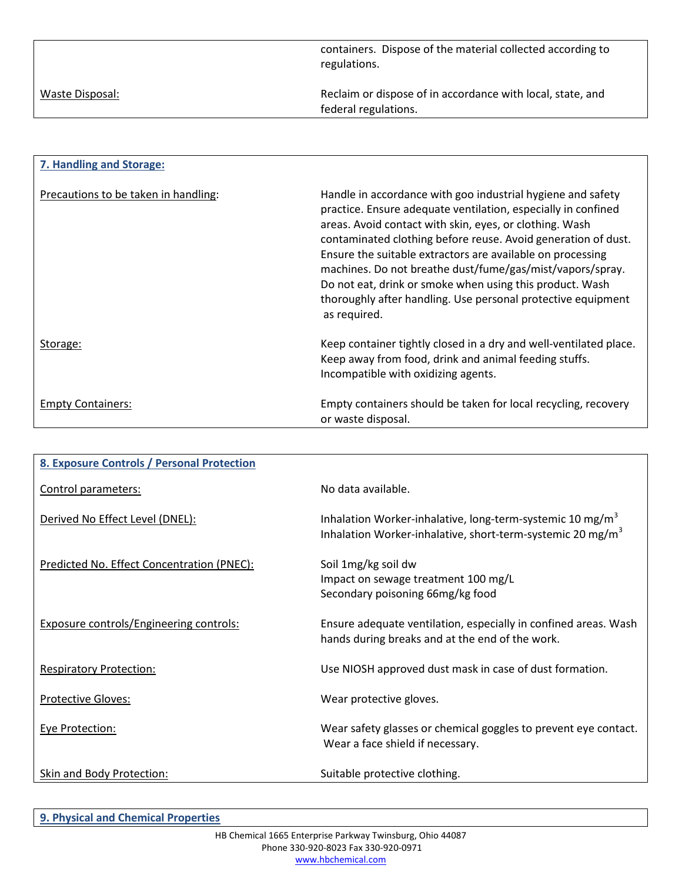|                 | containers. Dispose of the material collected according to<br>regulations.         |
|-----------------|------------------------------------------------------------------------------------|
| Waste Disposal: | Reclaim or dispose of in accordance with local, state, and<br>federal regulations. |
|                 |                                                                                    |

| 7. Handling and Storage:             |                                                                                                                                                                                                                                                                                                                                                                                                                                                                                                                                 |
|--------------------------------------|---------------------------------------------------------------------------------------------------------------------------------------------------------------------------------------------------------------------------------------------------------------------------------------------------------------------------------------------------------------------------------------------------------------------------------------------------------------------------------------------------------------------------------|
| Precautions to be taken in handling: | Handle in accordance with goo industrial hygiene and safety<br>practice. Ensure adequate ventilation, especially in confined<br>areas. Avoid contact with skin, eyes, or clothing. Wash<br>contaminated clothing before reuse. Avoid generation of dust.<br>Ensure the suitable extractors are available on processing<br>machines. Do not breathe dust/fume/gas/mist/vapors/spray.<br>Do not eat, drink or smoke when using this product. Wash<br>thoroughly after handling. Use personal protective equipment<br>as required. |
| Storage:                             | Keep container tightly closed in a dry and well-ventilated place.<br>Keep away from food, drink and animal feeding stuffs.<br>Incompatible with oxidizing agents.                                                                                                                                                                                                                                                                                                                                                               |
| <b>Empty Containers:</b>             | Empty containers should be taken for local recycling, recovery<br>or waste disposal.                                                                                                                                                                                                                                                                                                                                                                                                                                            |

| 8. Exposure Controls / Personal Protection |                                                                                                                                                 |
|--------------------------------------------|-------------------------------------------------------------------------------------------------------------------------------------------------|
| Control parameters:                        | No data available.                                                                                                                              |
| Derived No Effect Level (DNEL):            | Inhalation Worker-inhalative, long-term-systemic 10 mg/m <sup>3</sup><br>Inhalation Worker-inhalative, short-term-systemic 20 mg/m <sup>3</sup> |
| Predicted No. Effect Concentration (PNEC): | Soil 1mg/kg soil dw<br>Impact on sewage treatment 100 mg/L<br>Secondary poisoning 66mg/kg food                                                  |
| Exposure controls/Engineering controls:    | Ensure adequate ventilation, especially in confined areas. Wash<br>hands during breaks and at the end of the work.                              |
| <b>Respiratory Protection:</b>             | Use NIOSH approved dust mask in case of dust formation.                                                                                         |
| <b>Protective Gloves:</b>                  | Wear protective gloves.                                                                                                                         |
| <b>Eye Protection:</b>                     | Wear safety glasses or chemical goggles to prevent eye contact.<br>Wear a face shield if necessary.                                             |
| Skin and Body Protection:                  | Suitable protective clothing.                                                                                                                   |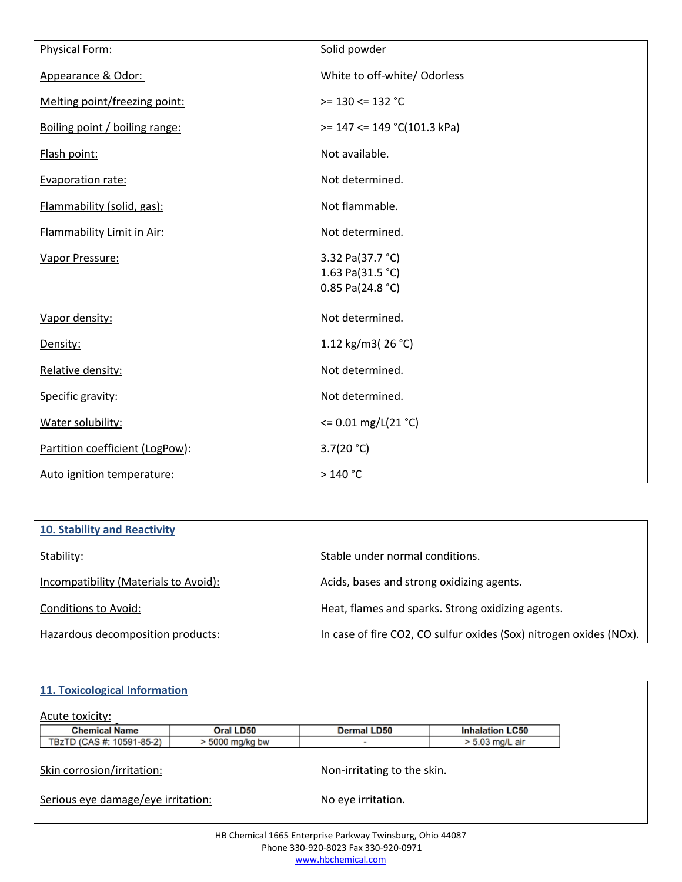| Physical Form:                  | Solid powder                                               |
|---------------------------------|------------------------------------------------------------|
| Appearance & Odor:              | White to off-white/ Odorless                               |
| Melting point/freezing point:   | $>= 130 \le 132$ °C                                        |
| Boiling point / boiling range:  | $>= 147 \le 149$ °C(101.3 kPa)                             |
| Flash point:                    | Not available.                                             |
| Evaporation rate:               | Not determined.                                            |
| Flammability (solid, gas):      | Not flammable.                                             |
| Flammability Limit in Air:      | Not determined.                                            |
| Vapor Pressure:                 | 3.32 Pa(37.7 °C)<br>1.63 Pa(31.5 °C)<br>$0.85$ Pa(24.8 °C) |
| Vapor density:                  | Not determined.                                            |
| Density:                        | 1.12 kg/m3(26 °C)                                          |
| Relative density:               | Not determined.                                            |
| Specific gravity:               | Not determined.                                            |
| Water solubility:               | $\leq$ 0.01 mg/L(21 °C)                                    |
| Partition coefficient (LogPow): | 3.7(20 °C)                                                 |
| Auto ignition temperature:      | $>140 °C$                                                  |

| <b>10. Stability and Reactivity</b>   |                                                                    |
|---------------------------------------|--------------------------------------------------------------------|
| Stability:                            | Stable under normal conditions.                                    |
| Incompatibility (Materials to Avoid): | Acids, bases and strong oxidizing agents.                          |
| Conditions to Avoid:                  | Heat, flames and sparks. Strong oxidizing agents.                  |
| Hazardous decomposition products:     | In case of fire CO2, CO sulfur oxides (Sox) nitrogen oxides (NOx). |

| 11. Toxicological Information      |                   |                             |                        |  |
|------------------------------------|-------------------|-----------------------------|------------------------|--|
| Acute toxicity:                    |                   |                             |                        |  |
| <b>Chemical Name</b>               | Oral LD50         | <b>Dermal LD50</b>          | <b>Inhalation LC50</b> |  |
| TBzTD (CAS #: 10591-85-2)          | $> 5000$ mg/kg bw |                             | $> 5.03$ mg/L air      |  |
| Skin corrosion/irritation:         |                   | Non-irritating to the skin. |                        |  |
| Serious eye damage/eye irritation: |                   | No eye irritation.          |                        |  |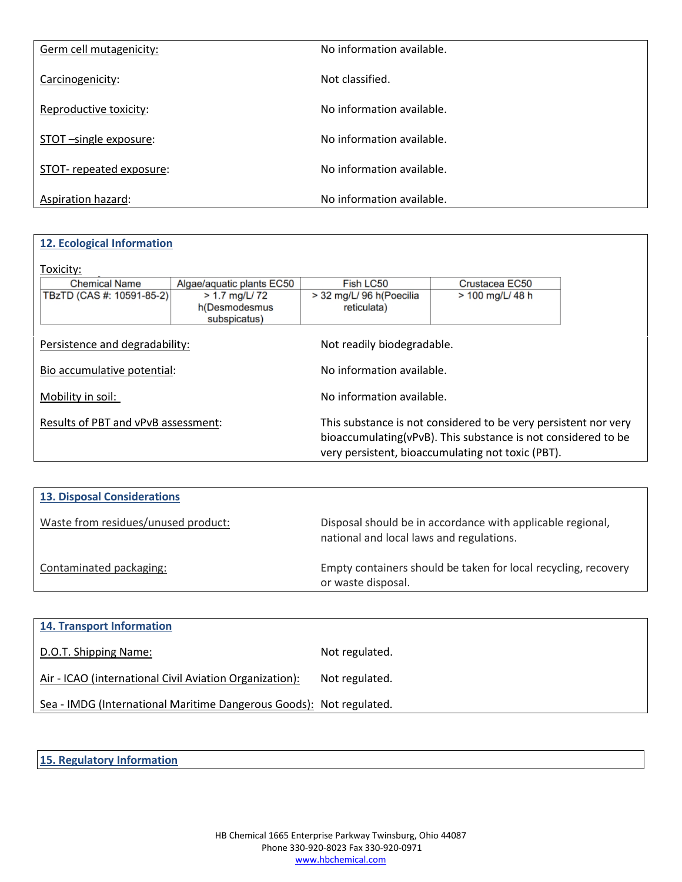| Germ cell mutagenicity: | No information available. |
|-------------------------|---------------------------|
| Carcinogenicity:        | Not classified.           |
| Reproductive toxicity:  | No information available. |
| STOT-single exposure:   | No information available. |
| STOT-repeated exposure: | No information available. |
| Aspiration hazard:      | No information available. |

| 12. Ecological Information          |                                                  |                                         |                                                                                                                                  |  |  |  |
|-------------------------------------|--------------------------------------------------|-----------------------------------------|----------------------------------------------------------------------------------------------------------------------------------|--|--|--|
| Toxicity:                           |                                                  |                                         |                                                                                                                                  |  |  |  |
| <b>Chemical Name</b>                | Algae/aquatic plants EC50                        | Fish LC50                               | Crustacea EC50                                                                                                                   |  |  |  |
| TBzTD (CAS #: 10591-85-2)           | $> 1.7$ mg/L/72<br>h(Desmodesmus<br>subspicatus) | > 32 mg/L/ 96 h(Poecilia<br>reticulata) | > 100 mg/L/ 48 h                                                                                                                 |  |  |  |
| Persistence and degradability:      |                                                  | Not readily biodegradable.              |                                                                                                                                  |  |  |  |
| Bio accumulative potential:         |                                                  | No information available.               |                                                                                                                                  |  |  |  |
| Mobility in soil:                   |                                                  | No information available.               |                                                                                                                                  |  |  |  |
| Results of PBT and vPvB assessment: |                                                  |                                         | This substance is not considered to be very persistent nor very<br>bioaccumulating(vPvB). This substance is not considered to be |  |  |  |
|                                     |                                                  |                                         | very persistent, bioaccumulating not toxic (PBT).                                                                                |  |  |  |

| <b>13. Disposal Considerations</b>  |                                                                                                        |
|-------------------------------------|--------------------------------------------------------------------------------------------------------|
| Waste from residues/unused product: | Disposal should be in accordance with applicable regional,<br>national and local laws and regulations. |
| Contaminated packaging:             | Empty containers should be taken for local recycling, recovery<br>or waste disposal.                   |

| <b>14. Transport Information</b>                                    |                |
|---------------------------------------------------------------------|----------------|
| D.O.T. Shipping Name:                                               | Not regulated. |
| Air - ICAO (international Civil Aviation Organization):             | Not regulated. |
| Sea - IMDG (International Maritime Dangerous Goods): Not regulated. |                |

**15. Regulatory Information**